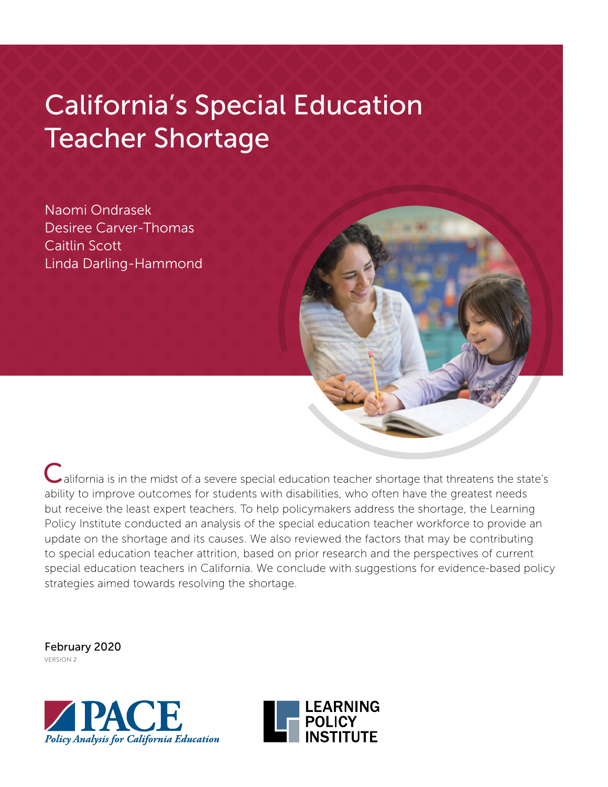# California's Special Education Teacher Shortage

Naomi Ondrasek Desiree Carver-Thomas Caitlin Scott Linda Darling-Hammond

California is in the midst of a severe special education teacher shortage that threatens the state's ability to improve outcomes for students with disabilities, who often have the greatest needs but receive the least expert teachers. To help policymakers address the shortage, the Learning Policy Institute conducted an analysis of the special education teacher workforce to provide an update on the shortage and its causes. We also reviewed the factors that may be contributing to special education teacher attrition, based on prior research and the perspectives of current special education teachers in California. We conclude with suggestions for evidence-based policy strategies aimed towards resolving the shortage.

February 2020 VERSION 2



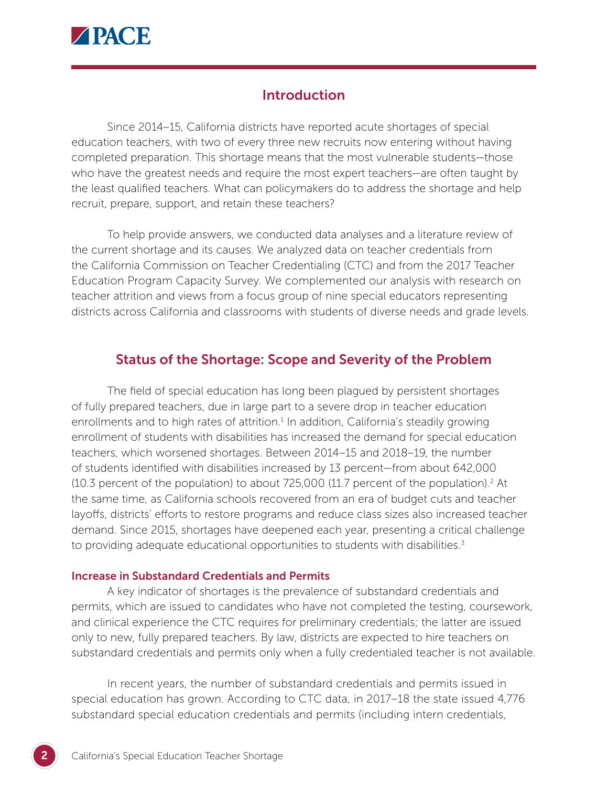

## **Introduction**

Since 2014–15, California districts have reported acute shortages of special education teachers, with two of every three new recruits now entering without having completed preparation. This shortage means that the most vulnerable students—those who have the greatest needs and require the most expert teachers—are often taught by the least qualified teachers. What can policymakers do to address the shortage and help recruit, prepare, support, and retain these teachers?

To help provide answers, we conducted data analyses and a literature review of the current shortage and its causes. We analyzed data on teacher credentials from the California Commission on Teacher Credentialing (CTC) and from the 2017 Teacher Education Program Capacity Survey. We complemented our analysis with research on teacher attrition and views from a focus group of nine special educators representing districts across California and classrooms with students of diverse needs and grade levels.

## Status of the Shortage: Scope and Severity of the Problem

The field of special education has long been plagued by persistent shortages of fully prepared teachers, due in large part to a severe drop in teacher education enrollments and to high rates of attrition. $<sup>1</sup>$  In addition, California's steadily growing</sup> enrollment of students with disabilities has increased the demand for special education teachers, which worsened shortages. Between 2014–15 and 2018–19, the number of students identified with disabilities increased by 13 percent—from about 642,000  $(10.3$  percent of the population) to about 725,000  $(11.7$  percent of the population).<sup>2</sup> At the same time, as California schools recovered from an era of budget cuts and teacher layoffs, districts' efforts to restore programs and reduce class sizes also increased teacher demand. Since 2015, shortages have deepened each year, presenting a critical challenge to providing adequate educational opportunities to students with disabilities.<sup>3</sup>

#### Increase in Substandard Credentials and Permits

A key indicator of shortages is the prevalence of substandard credentials and permits, which are issued to candidates who have not completed the testing, coursework, and clinical experience the CTC requires for preliminary credentials; the latter are issued only to new, fully prepared teachers. By law, districts are expected to hire teachers on substandard credentials and permits only when a fully credentialed teacher is not available.

In recent years, the number of substandard credentials and permits issued in special education has grown. According to CTC data, in 2017–18 the state issued 4,776 substandard special education credentials and permits (including intern credentials,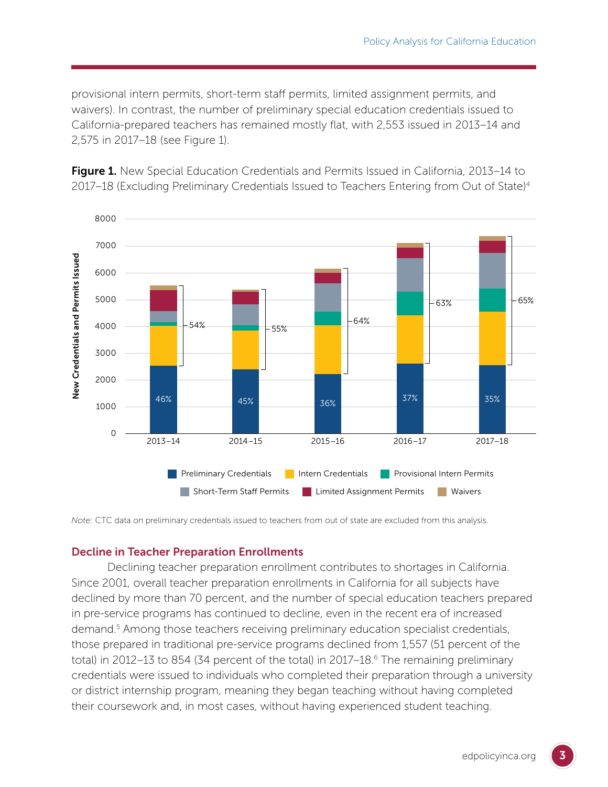provisional intern permits, short-term staff permits, limited assignment permits, and waivers). In contrast, the number of preliminary special education credentials issued to California-prepared teachers has remained mostly flat, with 2,553 issued in 2013–14 and 2,575 in 2017–18 (see Figure 1).

Figure 1. New Special Education Credentials and Permits Issued in California, 2013–14 to 2017–18 (Excluding Preliminary Credentials Issued to Teachers Entering from Out of State)4



*Note:* CTC data on preliminary credentials issued to teachers from out of state are excluded from this analysis.

#### Decline in Teacher Preparation Enrollments

Declining teacher preparation enrollment contributes to shortages in California. Since 2001, overall teacher preparation enrollments in California for all subjects have declined by more than 70 percent, and the number of special education teachers prepared in pre-service programs has continued to decline, even in the recent era of increased demand.<sup>5</sup> Among those teachers receiving preliminary education specialist credentials, those prepared in traditional pre-service programs declined from 1,557 (51 percent of the total) in 2012–13 to 854 (34 percent of the total) in 2017–18.<sup>6</sup> The remaining preliminary credentials were issued to individuals who completed their preparation through a university or district internship program, meaning they began teaching without having completed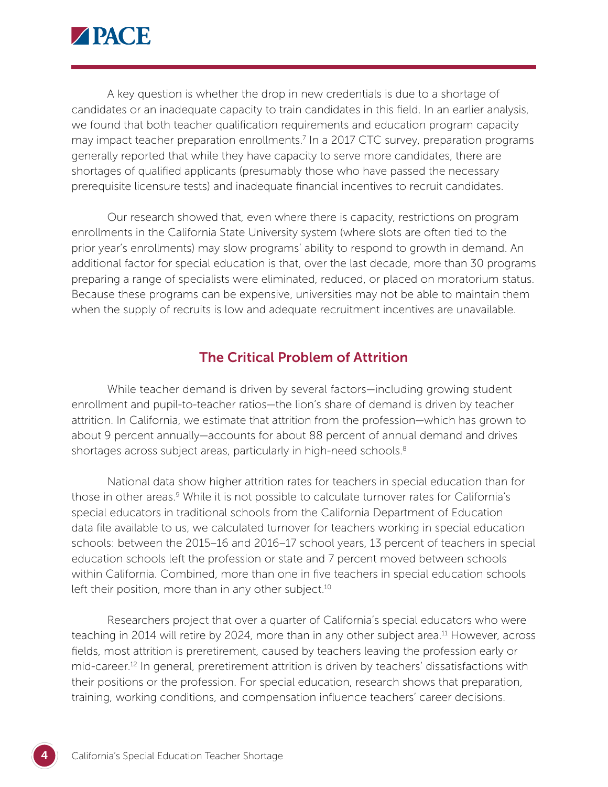

A key question is whether the drop in new credentials is due to a shortage of candidates or an inadequate capacity to train candidates in this field. In an earlier analysis, we found that both teacher qualification requirements and education program capacity may impact teacher preparation enrollments.<sup>7</sup> In a 2017 CTC survey, preparation programs generally reported that while they have capacity to serve more candidates, there are shortages of qualified applicants (presumably those who have passed the necessary prerequisite licensure tests) and inadequate financial incentives to recruit candidates.

Our research showed that, even where there is capacity, restrictions on program enrollments in the California State University system (where slots are often tied to the prior year's enrollments) may slow programs' ability to respond to growth in demand. An additional factor for special education is that, over the last decade, more than 30 programs preparing a range of specialists were eliminated, reduced, or placed on moratorium status. Because these programs can be expensive, universities may not be able to maintain them when the supply of recruits is low and adequate recruitment incentives are unavailable.

## The Critical Problem of Attrition

While teacher demand is driven by several factors—including growing student enrollment and pupil-to-teacher ratios—the lion's share of demand is driven by teacher attrition. In California, we estimate that attrition from the profession—which has grown to about 9 percent annually—accounts for about 88 percent of annual demand and drives shortages across subject areas, particularly in high-need schools.<sup>8</sup>

National data show higher attrition rates for teachers in special education than for those in other areas.<sup>9</sup> While it is not possible to calculate turnover rates for California's special educators in traditional schools from the California Department of Education data file available to us, we calculated turnover for teachers working in special education schools: between the 2015–16 and 2016–17 school years, 13 percent of teachers in special education schools left the profession or state and 7 percent moved between schools within California. Combined, more than one in five teachers in special education schools left their position, more than in any other subject.<sup>10</sup>

Researchers project that over a quarter of California's special educators who were teaching in 2014 will retire by 2024, more than in any other subject area.<sup>11</sup> However, across fields, most attrition is preretirement, caused by teachers leaving the profession early or mid-career.<sup>12</sup> In general, preretirement attrition is driven by teachers' dissatisfactions with their positions or the profession. For special education, research shows that preparation, training, working conditions, and compensation influence teachers' career decisions.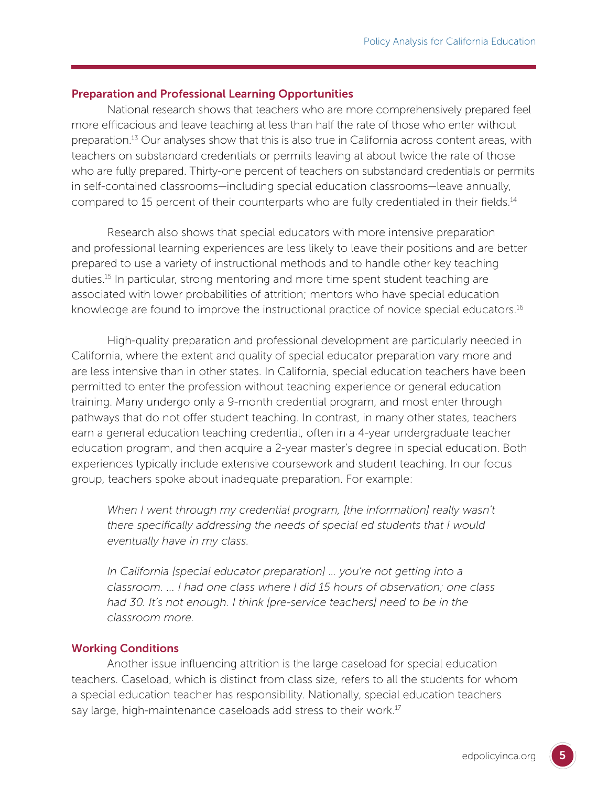#### Preparation and Professional Learning Opportunities

National research shows that teachers who are more comprehensively prepared feel more efficacious and leave teaching at less than half the rate of those who enter without preparation.13 Our analyses show that this is also true in California across content areas, with teachers on substandard credentials or permits leaving at about twice the rate of those who are fully prepared. Thirty-one percent of teachers on substandard credentials or permits in self-contained classrooms—including special education classrooms—leave annually, compared to 15 percent of their counterparts who are fully credentialed in their fields.<sup>14</sup>

Research also shows that special educators with more intensive preparation and professional learning experiences are less likely to leave their positions and are better prepared to use a variety of instructional methods and to handle other key teaching duties.15 In particular, strong mentoring and more time spent student teaching are associated with lower probabilities of attrition; mentors who have special education knowledge are found to improve the instructional practice of novice special educators.<sup>16</sup>

High-quality preparation and professional development are particularly needed in California, where the extent and quality of special educator preparation vary more and are less intensive than in other states. In California, special education teachers have been permitted to enter the profession without teaching experience or general education training. Many undergo only a 9-month credential program, and most enter through pathways that do not offer student teaching. In contrast, in many other states, teachers earn a general education teaching credential, often in a 4-year undergraduate teacher education program, and then acquire a 2-year master's degree in special education. Both experiences typically include extensive coursework and student teaching. In our focus group, teachers spoke about inadequate preparation. For example:

*When I went through my credential program, [the information] really wasn't there specifically addressing the needs of special ed students that I would eventually have in my class.*

*In California [special educator preparation] … you're not getting into a classroom. ... I had one class where I did 15 hours of observation; one class*  had 30. It's not enough. I think [pre-service teachers] need to be in the *classroom more.*

#### Working Conditions

Another issue influencing attrition is the large caseload for special education teachers. Caseload, which is distinct from class size, refers to all the students for whom a special education teacher has responsibility. Nationally, special education teachers say large, high-maintenance caseloads add stress to their work.<sup>17</sup>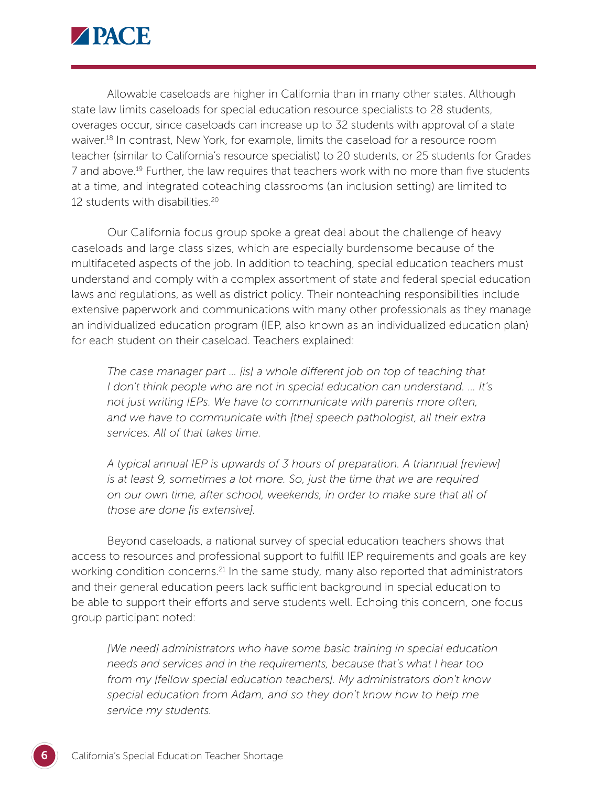

Allowable caseloads are higher in California than in many other states. Although state law limits caseloads for special education resource specialists to 28 students, overages occur, since caseloads can increase up to 32 students with approval of a state waiver.18 In contrast, New York, for example, limits the caseload for a resource room teacher (similar to California's resource specialist) to 20 students, or 25 students for Grades 7 and above.19 Further, the law requires that teachers work with no more than five students at a time, and integrated coteaching classrooms (an inclusion setting) are limited to 12 students with disabilities.20

Our California focus group spoke a great deal about the challenge of heavy caseloads and large class sizes, which are especially burdensome because of the multifaceted aspects of the job. In addition to teaching, special education teachers must understand and comply with a complex assortment of state and federal special education laws and regulations, as well as district policy. Their nonteaching responsibilities include extensive paperwork and communications with many other professionals as they manage an individualized education program (IEP, also known as an individualized education plan) for each student on their caseload. Teachers explained:

*The case manager part … [is] a whole different job on top of teaching that I don't think people who are not in special education can understand. … It's not just writing IEPs. We have to communicate with parents more often, and we have to communicate with [the] speech pathologist, all their extra services. All of that takes time.*

*A typical annual IEP is upwards of 3 hours of preparation. A triannual [review] is at least 9, sometimes a lot more. So, just the time that we are required on our own time, after school, weekends, in order to make sure that all of those are done [is extensive].*

Beyond caseloads, a national survey of special education teachers shows that access to resources and professional support to fulfill IEP requirements and goals are key working condition concerns.<sup>21</sup> In the same study, many also reported that administrators and their general education peers lack sufficient background in special education to be able to support their efforts and serve students well. Echoing this concern, one focus group participant noted:

*[We need] administrators who have some basic training in special education needs and services and in the requirements, because that's what I hear too from my [fellow special education teachers]. My administrators don't know special education from Adam, and so they don't know how to help me service my students.*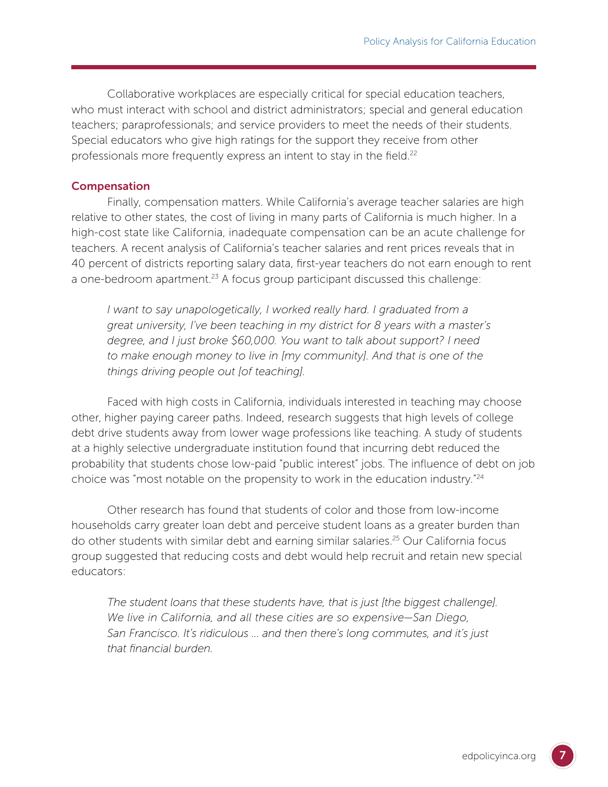Collaborative workplaces are especially critical for special education teachers, who must interact with school and district administrators; special and general education teachers; paraprofessionals; and service providers to meet the needs of their students. Special educators who give high ratings for the support they receive from other professionals more frequently express an intent to stay in the field.<sup>22</sup>

#### Compensation

Finally, compensation matters. While California's average teacher salaries are high relative to other states, the cost of living in many parts of California is much higher. In a high-cost state like California, inadequate compensation can be an acute challenge for teachers. A recent analysis of California's teacher salaries and rent prices reveals that in 40 percent of districts reporting salary data, first-year teachers do not earn enough to rent a one-bedroom apartment.<sup>23</sup> A focus group participant discussed this challenge:

*I* want to say unapologetically, I worked really hard. I graduated from a *great university, I've been teaching in my district for 8 years with a master's degree, and I just broke \$60,000. You want to talk about support? I need to make enough money to live in [my community]. And that is one of the things driving people out [of teaching].*

Faced with high costs in California, individuals interested in teaching may choose other, higher paying career paths. Indeed, research suggests that high levels of college debt drive students away from lower wage professions like teaching. A study of students at a highly selective undergraduate institution found that incurring debt reduced the probability that students chose low-paid "public interest" jobs. The influence of debt on job choice was "most notable on the propensity to work in the education industry."24

Other research has found that students of color and those from low-income households carry greater loan debt and perceive student loans as a greater burden than do other students with similar debt and earning similar salaries.25 Our California focus group suggested that reducing costs and debt would help recruit and retain new special educators:

*The student loans that these students have, that is just [the biggest challenge]. We live in California, and all these cities are so expensive—San Diego, San Francisco. It's ridiculous … and then there's long commutes, and it's just that financial burden.*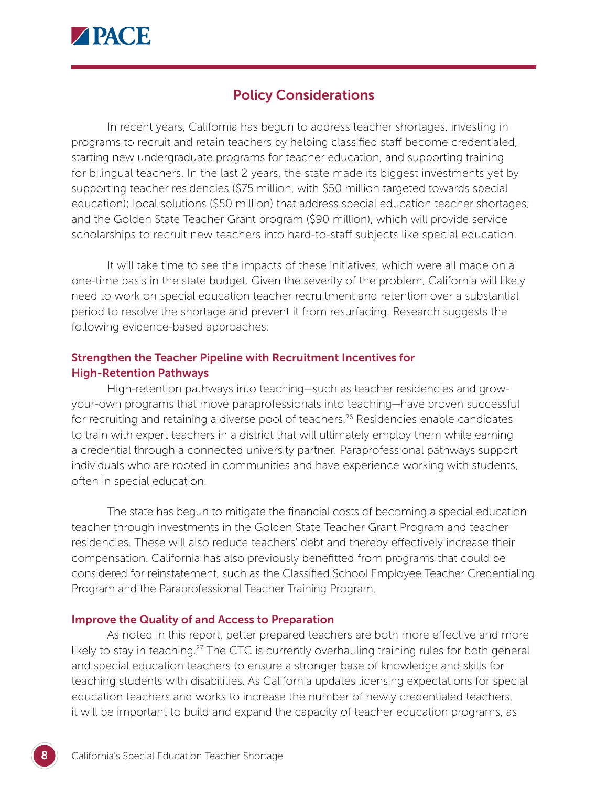

## Policy Considerations

In recent years, California has begun to address teacher shortages, investing in programs to recruit and retain teachers by helping classified staff become credentialed, starting new undergraduate programs for teacher education, and supporting training for bilingual teachers. In the last 2 years, the state made its biggest investments yet by supporting teacher residencies (\$75 million, with \$50 million targeted towards special education); local solutions (\$50 million) that address special education teacher shortages; and the Golden State Teacher Grant program (\$90 million), which will provide service scholarships to recruit new teachers into hard-to-staff subjects like special education.

It will take time to see the impacts of these initiatives, which were all made on a one-time basis in the state budget. Given the severity of the problem, California will likely need to work on special education teacher recruitment and retention over a substantial period to resolve the shortage and prevent it from resurfacing. Research suggests the following evidence-based approaches:

#### Strengthen the Teacher Pipeline with Recruitment Incentives for High-Retention Pathways

High-retention pathways into teaching—such as teacher residencies and growyour-own programs that move paraprofessionals into teaching—have proven successful for recruiting and retaining a diverse pool of teachers.<sup>26</sup> Residencies enable candidates to train with expert teachers in a district that will ultimately employ them while earning a credential through a connected university partner. Paraprofessional pathways support individuals who are rooted in communities and have experience working with students, often in special education.

The state has begun to mitigate the financial costs of becoming a special education teacher through investments in the Golden State Teacher Grant Program and teacher residencies. These will also reduce teachers' debt and thereby effectively increase their compensation. California has also previously benefitted from programs that could be considered for reinstatement, such as the Classified School Employee Teacher Credentialing Program and the Paraprofessional Teacher Training Program.

#### Improve the Quality of and Access to Preparation

As noted in this report, better prepared teachers are both more effective and more likely to stay in teaching.<sup>27</sup> The CTC is currently overhauling training rules for both general and special education teachers to ensure a stronger base of knowledge and skills for teaching students with disabilities. As California updates licensing expectations for special education teachers and works to increase the number of newly credentialed teachers, it will be important to build and expand the capacity of teacher education programs, as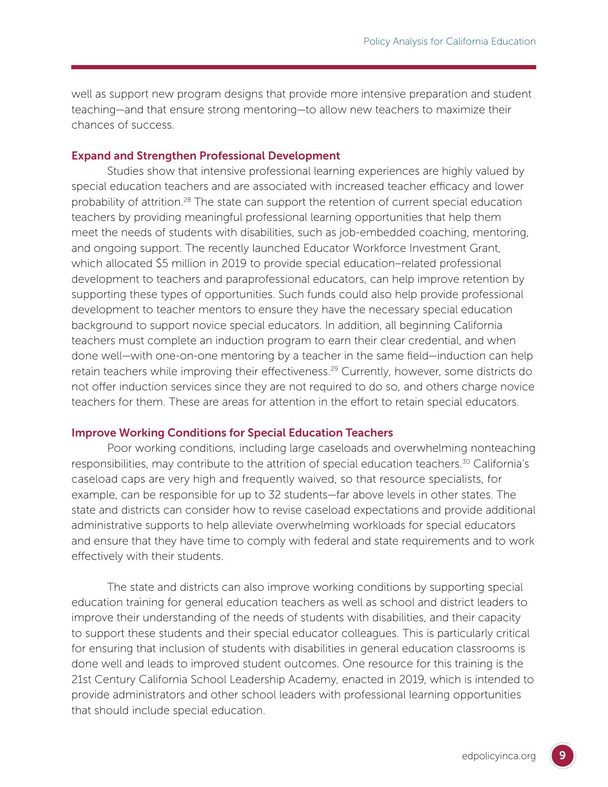well as support new program designs that provide more intensive preparation and student teaching—and that ensure strong mentoring—to allow new teachers to maximize their chances of success.

#### Expand and Strengthen Professional Development

Studies show that intensive professional learning experiences are highly valued by special education teachers and are associated with increased teacher efficacy and lower probability of attrition.<sup>28</sup> The state can support the retention of current special education teachers by providing meaningful professional learning opportunities that help them meet the needs of students with disabilities, such as job-embedded coaching, mentoring, and ongoing support. The recently launched Educator Workforce Investment Grant, which allocated \$5 million in 2019 to provide special education–related professional development to teachers and paraprofessional educators, can help improve retention by supporting these types of opportunities. Such funds could also help provide professional development to teacher mentors to ensure they have the necessary special education background to support novice special educators. In addition, all beginning California teachers must complete an induction program to earn their clear credential, and when done well—with one-on-one mentoring by a teacher in the same field—induction can help retain teachers while improving their effectiveness.<sup>29</sup> Currently, however, some districts do not offer induction services since they are not required to do so, and others charge novice teachers for them. These are areas for attention in the effort to retain special educators.

#### Improve Working Conditions for Special Education Teachers

Poor working conditions, including large caseloads and overwhelming nonteaching responsibilities, may contribute to the attrition of special education teachers.<sup>30</sup> California's caseload caps are very high and frequently waived, so that resource specialists, for example, can be responsible for up to 32 students—far above levels in other states. The state and districts can consider how to revise caseload expectations and provide additional administrative supports to help alleviate overwhelming workloads for special educators and ensure that they have time to comply with federal and state requirements and to work effectively with their students.

The state and districts can also improve working conditions by supporting special education training for general education teachers as well as school and district leaders to improve their understanding of the needs of students with disabilities, and their capacity to support these students and their special educator colleagues. This is particularly critical for ensuring that inclusion of students with disabilities in general education classrooms is done well and leads to improved student outcomes. One resource for this training is the 21st Century California School Leadership Academy, enacted in 2019, which is intended to provide administrators and other school leaders with professional learning opportunities that should include special education.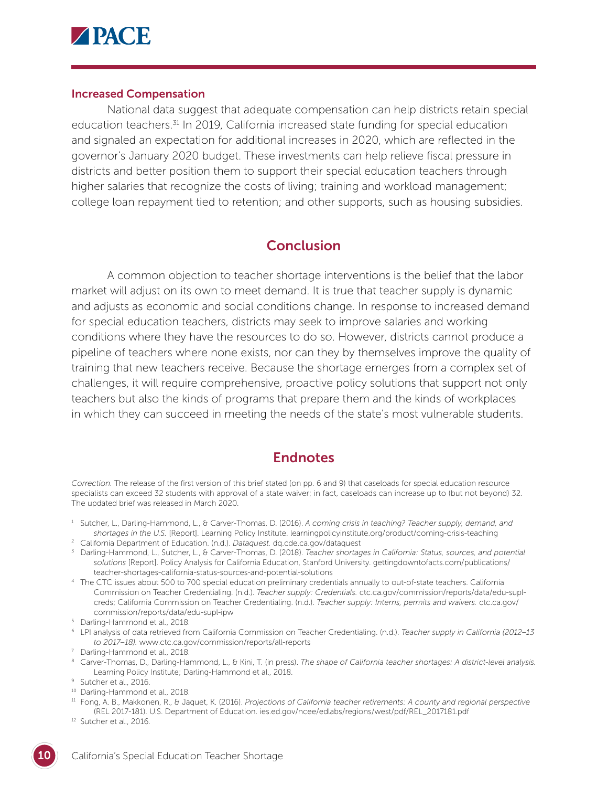

#### Increased Compensation

National data suggest that adequate compensation can help districts retain special education teachers.<sup>31</sup> In 2019, California increased state funding for special education and signaled an expectation for additional increases in 2020, which are reflected in the governor's January 2020 budget. These investments can help relieve fiscal pressure in districts and better position them to support their special education teachers through higher salaries that recognize the costs of living; training and workload management; college loan repayment tied to retention; and other supports, such as housing subsidies.

## **Conclusion**

A common objection to teacher shortage interventions is the belief that the labor market will adjust on its own to meet demand. It is true that teacher supply is dynamic and adjusts as economic and social conditions change. In response to increased demand for special education teachers, districts may seek to improve salaries and working conditions where they have the resources to do so. However, districts cannot produce a pipeline of teachers where none exists, nor can they by themselves improve the quality of training that new teachers receive. Because the shortage emerges from a complex set of challenges, it will require comprehensive, proactive policy solutions that support not only teachers but also the kinds of programs that prepare them and the kinds of workplaces in which they can succeed in meeting the needs of the state's most vulnerable students.

### **Endnotes**

*Correction.* The release of the first version of this brief stated (on pp. 6 and 9) that caseloads for special education resource specialists can exceed 32 students with approval of a state waiver; in fact, caseloads can increase up to (but not beyond) 32. The updated brief was released in March 2020.

- <sup>1</sup> Sutcher, L., Darling-Hammond, L., & Carver-Thomas, D. (2016). *A coming crisis in teaching? Teacher supply, demand, and shortages in the U.S.* [Report]. Learning Policy Institute. learningpolicyinstitute.org/product/coming-crisis-teaching
- <sup>2</sup> California Department of Education. (n.d.). *Dataquest.* dq.cde.ca.gov/dataquest
- <sup>3</sup> Darling-Hammond, L., Sutcher, L., & Carver-Thomas, D. (2018). *[Teacher shortag](http://dq.cde.ca.gov/dataquest)es in California: Status, sources, and potential solutions* [Report]. Policy Analysis for California Education, Stanford University. gettingdowntofacts.com/publications/ teacher-shortages-california-status-sources-and-potential-solutions
- <sup>4</sup> Th[e CTC issues about 500 to 700 special education preliminary creden](http://gettingdowntofacts.com/publications/teacher-shortages-california-status-sources-and-potential-solutions)tials annually to out-of-state teachers. California Commission on Teacher Credentialing. (n.d.). *Teacher supply: Credentials.* ctc.ca.gov/commission/reports/data/edu-suplcreds; California Commission on Teacher Credentialing. (n.d.). *Teacher su[pply: Interns, permits and waivers.](http://ctc.ca.gov/commission/reports/data/edu-supl-creds)* ctc.ca.gov/ [comm](http://ctc.ca.gov/commission/reports/data/edu-supl-creds)ission/reports/data/edu-supl-ipw
- <sup>5</sup> Dar[ling-Hammond et al., 2018.](http://ctc.ca.gov/commission/reports/data/edu-supl-ipw)
- <sup>6</sup> LPI analysis of data retrieved from California Commission on Teacher Credentialing. (n.d.). *Teacher supply in California (2012–13 to 2017–18).* www.ctc.ca.gov/commission/reports/all-reports
- <sup>7</sup> Darling-Hammo[nd et al., 2018.](http://www.ctc.ca.gov/commission/reports/all-reports)
- <sup>8</sup> Carver-Thomas, D., Darling-Hammond, L., & Kini, T. (in press). *The shape of California teacher shortages: A district-level analysis.* Learning Policy Institute; Darling-Hammond et al., 2018.
- 
- <sup>10</sup> Darling-Hammond et al., 2018.
- <sup>11</sup> Fong, A. B., Makkonen, R., & Jaquet, K. (2016). *Projections of California teacher retirements: A county and regional perspective* (REL 2017-181). U.S. Department of Education. ies.ed.gov/ncee/edlabs/regions/west/pdf/REL\_2017181.pdf
- <sup>12</sup> Sutcher et al., 2016.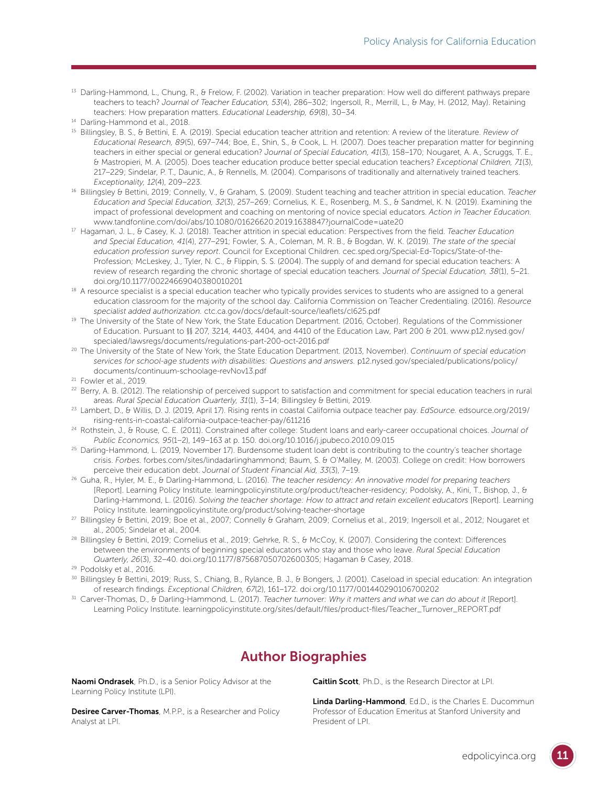<sup>13</sup> Darling-Hammond, L., Chung, R., & Frelow, F. (2002). Variation in teacher preparation: How well do different pathways prepare teachers to teach? *Journal of Teacher Education, 53*(4), 286–302; Ingersoll, R., Merrill, L., & May, H. (2012, May). Retaining teachers: How preparation matters. *Educational Leadership, 69*(8), 30–34.

- <sup>15</sup> Billingsley, B. S., & Bettini, E. A. (2019). Special education teacher attrition and retention: A review of the literature. *Review of Educational Research, 89*(5), 697–744; Boe, E., Shin, S., & Cook, L. H. (2007). Does teacher preparation matter for beginning teachers in either special or general education? *Journal of Special Education, 41*(3), 158–170; Nougaret, A. A., Scruggs, T. E., & Mastropieri, M. A. (2005). Does teacher education produce better special education teachers? *Exceptional Children, 71*(3), 217–229; Sindelar, P. T., Daunic, A., & Rennells, M. (2004). Comparisons of traditionally and alternatively trained teachers. *Exceptionality, 12*(4), 209–223.
- <sup>16</sup> Billingsley & Bettini, 2019; Connelly, V., & Graham, S. (2009). Student teaching and teacher attrition in special education. *Teacher Education and Special Education, 32*(3), 257–269; Cornelius, K. E., Rosenberg, M. S., & Sandmel, K. N. (2019). Examining the impact of professional development and coaching on mentoring of novice special educators. *Action in Teacher Education.*  www.tandfonline.com/doi/abs/10.1080/01626620.2019.1638847?journalCode=uate20
- <sup>17</sup> Ha[gaman, J. L., & Casey, K. J. \(2018\). Teacher attrition in special education: Perspectives fro](http://www.tandfonline.com/doi/abs/10.1080/01626620.2019.1638847?journalCode=uate20)m the field. *Teacher Education and Special Education, 41*(4), 277–291; Fowler, S. A., Coleman, M. R. B., & Bogdan, W. K. (2019). *The state of the special education profession survey report*. Council for Exceptional Children. cec.sped.org/Special-Ed-Topics/State-of-the-Profession; McLeskey, J., Tyler, N. C., & Flippin, S. S. (2004). The supply of and demand for special education teachers: A review of research regarding the chronic shortage of special education teachers. *Journal of Special Education, 38*(1), 5–21. doi.org/10.1177/00224669040380010201
- <sup>18</sup> A r[esource specialist is a special education tea](http://doi.org/10.1177/00224669040380010201)cher who typically provides services to students who are assigned to a general education classroom for the majority of the school day. California Commission on Teacher Credentialing. (2016). *Resource specialist added authorization.* ctc.ca.gov/docs/default-source/leaflets/cl625.pdf
- <sup>19</sup> The University of the State of New [York, the State Education Department. \(2016, Octo](http://ctc.ca.gov/docs/default-source/leaflets/cl625.pdf)ber). Regulations of the Commissioner of Education. Pursuant to §§ 207, 3214, 4403, 4404, and 4410 of the Education Law, Part 200 & 201. www.p12.nysed.gov/ specialed/lawsregs/documents/regulations-part-200-oct-2016.pdf
- <sup>20</sup> Th[e University of the State of New York, the State Education Departme](http://www.p12.nysed.gov/specialed/lawsregs/documents/regulations-part-200-oct-2016.pdf)nt. (2013, November). *Continuum of special education services for school-age students with disabilities: Questions and answers.* p12.nysed.gov/specialed/publications/policy/ documents/continuum-schoolage-revNov13.pdf
- <sup>21</sup> Fo[wler et al., 2019.](http://p12.nysed.gov/specialed/publications/policy/documents/continuum-schoolage-revNov13.pdf)
- <sup>22</sup> Berry, A. B. (2012). The relationship of perceived support to satisfaction and commitment for special education teachers in rural areas. *Rural Special Education Quarterly, 31*(1), 3–14; Billingsley & Bettini, 2019.
- <sup>23</sup> Lambert, D., & Willis, D. J. (2019, April 17). Rising rents in coastal California outpace teacher pay. *EdSource.* edsource.org/2019/ rising-rents-in-coastal-california-outpace-teacher-pay/611216
- <sup>24</sup> Rot[hstein, J., & Rouse, C. E. \(2011\). Constrained after college: Stu](http://edsource.org/2019/rising-rents-in-coastal-california-outpace-teacher-pay/611216)dent loans and early-career occupational choices. *Journal of Public Economics, 95*(1–2), 149–163 at p. 150. doi.org/10.1016/j.jpubeco.2010.09.015
- <sup>25</sup> Darling-Hammond, L. (2019, November 17). Burde[nsome student loan debt is contributin](http://doi.org/10.1016/j.jpubeco.2010.09.015)g to the country's teacher shortage crisis. *Forbes.* forbes.com/sites/lindadarlinghammond; Baum, S. & O'Malley, M. (2003). College on credit: How borrowers perceive their education debt. *[Journal of Student Fina](http://forbes.com/sites/lindadarlinghammond)ncial Aid, 33*(3), 7–19.
- <sup>26</sup> Guha, R., Hyler, M. E., & Darling-Hammond, L. (2016). *The teacher residency: An innovative model for preparing teachers* [Report]. Learning Policy Institute. learningpolicyinstitute.org/product/teacher-residency; Podolsky, A., Kini, T., Bishop, J., & Darling-Hammond, L. (2016). *Solv[ing the teacher shortage: How to attract and retain ex](http://learningpolicyinstitute.org/product/teacher-residency)cellent educators* [Report]. Learning Policy Institute. learningpolicyinstitute.org/product/solving-teacher-shortage
- <sup>27</sup> Billingsley & Bettini, [2019; Boe et al., 2007; Connelly & Graham, 2009; Cornelius](http://learningpolicyinstitute.org/product/solving-teacher-shortage) et al., 2019; Ingersoll et al., 2012; Nougaret et
- al., 2005; Sindelar et al., 2004. 28 Billingsley & Bettini, 2019; Gehrke, R. S., & McCoy, K. (2007). Considering the context: Differences between the environments of beginning special educators who stay and those who leave. *Rural Special Education Quarterly, 26*(3), 32–40. doi.org/10.1177/875687050702600305; Hagaman & Casey, 2018. 29 Podolsky et al., 2016.

- <sup>30</sup> Billingsley & Bettini, 2019; Russ, S., Chiang, B., Rylance, B. J., & Bongers, J. (2001). Caseload in special education: An integration of research findings. *Exceptional Children, 67*(2), 161–172. doi.org/10.1177/001440290106700202
- <sup>31</sup> Carver-Thomas, D., & Darling-Hammond, L. (2017). *Teacher t[urnover: Why it matters and what we ca](http://doi.org/10.1177/001440290106700202)n do about it* [Report]. Learning Policy Institute. learningpolicyinstitute.org/sites/default/files/product-files/Teacher\_Turnover\_REPORT.pdf

## Author Biographies

Naomi Ondrasek, Ph.D., is a Senior Policy Advisor at the Learning Policy Institute (LPI).

Desiree Carver-Thomas, M.P.P., is a Researcher and Policy Analyst at LPI.

Caitlin Scott, Ph.D., is the Research Director at LPI.

Linda Darling-Hammond, Ed.D., is the Charles E. Ducommun Professor of Education Emeritus at Stanford University and President of LPI.

<sup>14</sup> Darling-Hammond et al., 2018.